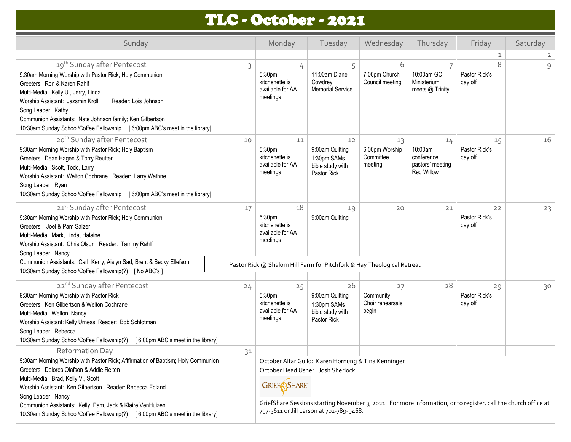## TLC - October - 2021

| Sunday                                                                                                                                                                                                                                                                                                                                                                                                                       |    | Monday                                                                     | Tuesday                                                                                                                                                                                                                                                | Wednesday                                    | Thursday                                                             | Friday                         | Saturday       |
|------------------------------------------------------------------------------------------------------------------------------------------------------------------------------------------------------------------------------------------------------------------------------------------------------------------------------------------------------------------------------------------------------------------------------|----|----------------------------------------------------------------------------|--------------------------------------------------------------------------------------------------------------------------------------------------------------------------------------------------------------------------------------------------------|----------------------------------------------|----------------------------------------------------------------------|--------------------------------|----------------|
|                                                                                                                                                                                                                                                                                                                                                                                                                              |    |                                                                            |                                                                                                                                                                                                                                                        |                                              |                                                                      | 1                              | $\overline{2}$ |
| 19 <sup>th</sup> Sunday after Pentecost<br>9:30am Morning Worship with Pastor Rick; Holy Communion<br>Greeters: Ron & Karen Rahlf<br>Multi-Media: Kelly U., Jerry, Linda<br>Worship Assistant: Jazsmin Kroll<br>Reader: Lois Johnson<br>Song Leader: Kathy<br>Communion Assistants: Nate Johnson family; Ken Gilbertson<br>10:30am Sunday School/Coffee Fellowship [6:00pm ABC's meet in the library]                        | 3  | 4<br>5:30pm<br>kitchenette is<br>available for AA<br>meetings              | 5<br>11:00am Diane<br>Cowdrey<br><b>Memorial Service</b>                                                                                                                                                                                               | 6<br>7:00pm Church<br>Council meeting        | 7<br>10:00am GC<br>Ministerium<br>meets @ Trinity                    | 8<br>Pastor Rick's<br>day off  | $\mathcal{Q}$  |
| 20 <sup>th</sup> Sunday after Pentecost<br>9:30am Morning Worship with Pastor Rick; Holy Baptism<br>Greeters: Dean Hagen & Torry Reutter<br>Multi-Media: Scott, Todd, Larry<br>Worship Assistant: Welton Cochrane Reader: Larry Wathne<br>Song Leader: Ryan<br>10:30am Sunday School/Coffee Fellowship [ 6:00pm ABC's meet in the library]                                                                                   | 10 | 11<br>5:30 <sub>pm</sub><br>kitchenette is<br>available for AA<br>meetings | 12<br>9:00am Quilting<br>1:30pm SAMs<br>bible study with<br>Pastor Rick                                                                                                                                                                                | 13<br>6:00pm Worship<br>Committee<br>meeting | 14<br>10:00am<br>conference<br>pastors' meeting<br><b>Red Willow</b> | 15<br>Pastor Rick's<br>day off | 16             |
| 21st Sunday after Pentecost<br>9:30am Morning Worship with Pastor Rick; Holy Communion<br>Greeters: Joel & Pam Salzer<br>Multi-Media: Mark, Linda, Halaine<br>Worship Assistant: Chris Olson Reader: Tammy Rahlf<br>Song Leader: Nancy<br>Communion Assistants: Carl, Kerry, Aislyn Sad; Brent & Becky Ellefson<br>10:30am Sunday School/Coffee Fellowship(?) [ No ABC's ]                                                   | 17 | 18<br>5:30pm<br>kitchenette is<br>available for AA<br>meetings             | 19<br>9:00am Quilting<br>Pastor Rick @ Shalom Hill Farm for Pitchfork & Hay Theological Retreat                                                                                                                                                        | 20                                           | 21                                                                   | 22<br>Pastor Rick's<br>day off | 23             |
| 22 <sup>nd</sup> Sunday after Pentecost<br>9:30am Morning Worship with Pastor Rick<br>Greeters: Ken Gilbertson & Welton Cochrane<br>Multi-Media: Welton, Nancy<br>Worship Assistant: Kelly Urness Reader: Bob Schlotman<br>Song Leader: Rebecca<br>10:30am Sunday School/Coffee Fellowship(?) [6:00pm ABC's meet in the library]                                                                                             | 24 | 25<br>5:30 <sub>pm</sub><br>kitchenette is<br>available for AA<br>meetings | 26<br>9:00am Quilting<br>1:30pm SAMs<br>bible study with<br>Pastor Rick                                                                                                                                                                                | 27<br>Community<br>Choir rehearsals<br>begin | 28                                                                   | 29<br>Pastor Rick's<br>day off | 30             |
| <b>Reformation Day</b><br>9:30am Morning Worship with Pastor Rick; Afffirmation of Baptism; Holy Communion<br>Greeters: Delores Olafson & Addie Reiten<br>Multi-Media: Brad, Kelly V., Scott<br>Worship Assistant: Ken Gilbertson Reader: Rebecca Edland<br>Song Leader: Nancy<br>Communion Assistants: Kelly, Pam, Jack & Klaire VenHuizen<br>10:30am Sunday School/Coffee Fellowship(?) [6:00pm ABC's meet in the library] | 31 | <b>GRIEFASHARE</b>                                                         | October Altar Guild: Karen Hornung & Tina Kenninger<br>October Head Usher: Josh Sherlock<br>GriefShare Sessions starting November 3, 2021. For more information, or to register, call the church office at<br>797-3611 or Jill Larson at 701-789-9468. |                                              |                                                                      |                                |                |